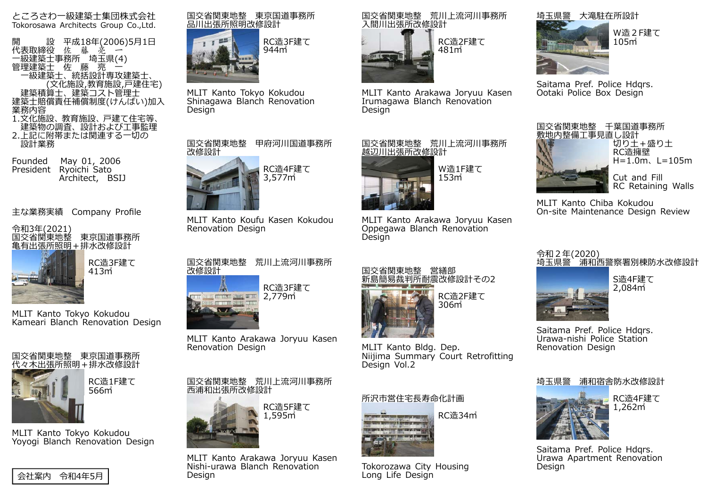ところさわ一級建築士集団株式会社Tokorosawa Architects Group Co.,Ltd.

開 設 平成18年(2006)5月1日<br>代表取締役 佐 藤 亮 一 一級建築士事務所 埼玉県(4)<br>管理建築士 佐 藤 亮 一 一級建築士、統括設計専攻建築士、 ーコンの化施設,教育施設,戸建住宅)<br>建築積算士、建築コスト管理士 建築士賠償責任補償制度(けんばい)加入<br>業務内容 1.⽂化施設、教育施設、⼾建て住宅等、建築物の調査、設計および工事監理

 2.上記に附帯または関連する一切の設計業務

Founded May 01, 2006 President Ryoichi Sato Architect, BSIJ

主な業務実績 Company Profile



RC造3F建て413㎡

MLIT Kanto Tokyo Kokudou Kameari Blanch Renovation Design



MLIT Kanto Tokyo Kokudou Yoyogi Blanch Renovation Design







MLIT Kanto Tokyo Kokudou Shinagawa Blanch Renovation **Design** 



MLIT Kanto Koufu Kasen Kokudou Renovation Design



MLIT Kanto Arakawa Joryuu Kasen Renovation Design

国交省関東地整 荒川上流河川事務所 ⻄浦和出張所改修設計



MLIT Kanto Arakawa Joryuu Kasen Nishi-urawa Blanch Renovation Design



MLIT Kanto Arakawa Joryuu Kasen Irumagawa Blanch Renovation Design



MLIT Kanto Arakawa Joryuu Kasen Oppegawa Blanch Renovation **Design** 



MLIT Kanto Bldg. Dep. Niijima Summary Court Retrofitting Design Vol.2

# 所沢市営住宅⻑寿命化計画



Tokorozawa City Housing Long Life Design



Saitama Pref. Police Hdars. Ootaki Police Box Design



MLIT Kanto Chiba Kokudou On-site Maintenance Design Review



令和2年(2020)<br>埼玉県警 浦和西警察署別棟防水改修設計



Saitama Pref. Police Hdars. Urawa-nishi Police Station Renovation Design





RC造4F建て1,262㎡

Saitama Pref. Police Hdars. Urawa Apartment Renovation Design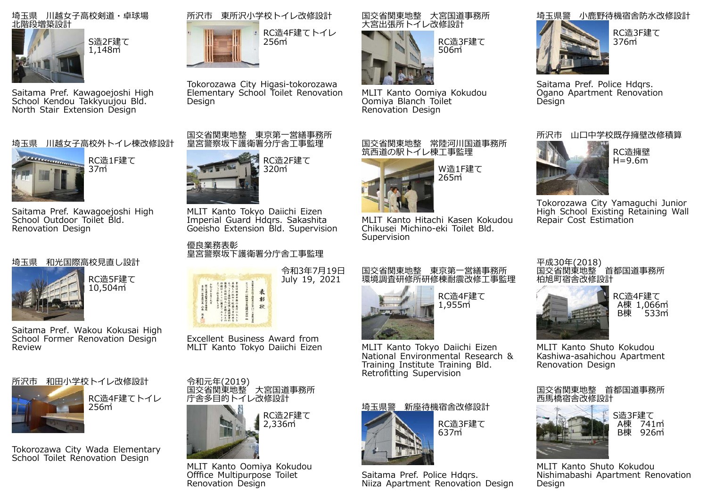

Saitama Pref. Kawagoejoshi High School Kendou Takkyuujou Bld. North Stair Extension Design

# 埼玉県 川越⼥⼦⾼校外トイレ棟改修設計



Saitama Pref. Kawagoejoshi High School Outdoor Toilet Bld. Renovation Design

#### 埼玉県 和光国際⾼校⾒直し設計



RC造5F建て10,504㎡

Saitama Pref. Wakou Kokusai High School Former Renovation Design Review





Tokorozawa City Wada Elementary School Toilet Renovation Design





Tokorozawa City Higasi-tokorozawa Elementary School Toilet Renovation Design

## 国交省関東地整 東京第一営繕事務所 皇宮警察坂下護衛署分庁舎工事監理



MLIT Kanto Tokyo Daiichi Eizen Imperial Guard Hdqrs. Sakashita Goeisho Extension Bld. Supervision

優良業務表彰皇宮警察坂下護衛署分庁舎工事監理



Excellent Business Award from MLIT Kanto Tokyo Daiichi Eizen



MLIT Kanto Oomiya Kokudou Offfice Multipurpose Toilet Renovation Design

#### 国交省関東地整 大宮国道事務所 大宮出張所トイレ改修設計



MLIT Kanto Oomiya Kokudou Oomiya Blanch Toilet Renovation Design



MLIT Kanto Hitachi Kasen Kokudou Chikusei Michino-eki Toilet Bld. Supervision

#### 国交省関東地整 東京第一営繕事務所 環境調査研修所研修棟耐震改修工事監理



RC造4F建て 1,955㎡

MLIT Kanto Tokyo Daiichi Eizen National Environmental Research & Training Institute Training Bld. Retrofitting Supervision



Saitama Pref. Police Hdars. Niiza Apartment Renovation Design

# 埼玉県警 小⿅野待機宿舎防⽔改修設計



376㎡

Saitama Pref. Police Hdars. Ogano Apartment Renovation **Design** 

# 所沢市 山口中学校既存擁壁改修積算



RC造擁壁H=9.6m

Tokorozawa City Yamaguchi Junior High School Existing Retaining Wall Repair Cost Estimation

平成30年(2018)<br>国交省関東地整 首都国道事務所 柏旭町宿舎改修設計



RC造4F建てA棟 1,066㎡<br>B棟 533㎡

MLIT Kanto Shuto Kokudou Kashiwa-asahichou Apartment Renovation Design

国交省関東地整 首都国道事務所



S造3F建てA棟 741㎡ B棟 926㎡

MLIT Kanto Shuto Kokudou Nishimabashi Apartment Renovation Design



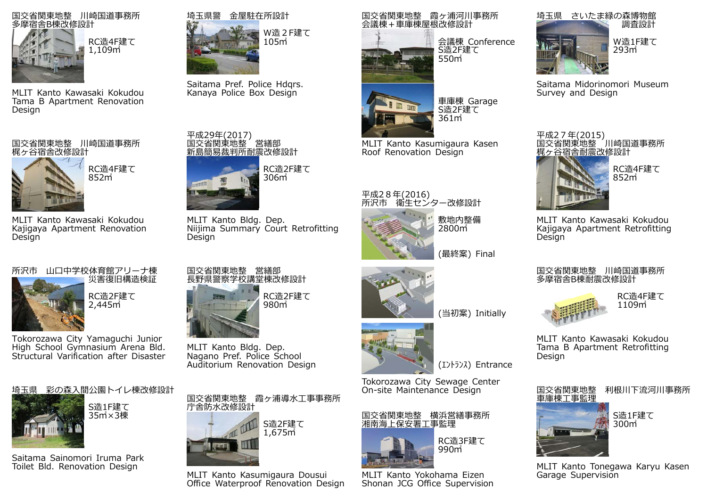

MLIT Kanto Kawasaki Kokudou Tama B Apartment Renovation Design

国交省関東地整 川崎国道事務所 梶ヶ谷宿舎改修設計

> RC造4F建て852㎡

MLIT Kanto Kawasaki Kokudou Kajigaya Apartment Renovation Design

所沢市 山口中学校体育館アリーナ棟 災害復旧構造検証

RC造2F建て2,445㎡

Tokorozawa City Yamaguchi Junior High School Gymnasium Arena Bld. Structural Varification after Disaster





S造1F建て35㎡×3棟

Saitama Sainomori Iruma Park Toilet Bld. Renovation Design



Saitama Pref. Police Hdars. Kanaya Police Box Design

平成29年(2017) 国交省関東地整 営繕部 新島簡易裁判所耐震改修設計



MLIT Kanto Bldg. Dep. Niijima Summary Court Retrofitting Design

国交省関東地整 営繕部 ⻑野県警察学校講堂棟改修設計



RC造2F建て980㎡

MLIT Kanto Bldg. Dep. Nagano Pref. Police School Auditorium Renovation Design

国交省関東地整 霞ヶ浦導⽔⼯事事務所 庁舎防⽔改修設計



MLIT Kanto Kasumigaura Dousui Office Waterproof Renovation Design 国交省関東地整 霞ヶ浦河川事務所 会議棟 + 車庫棟屋根改修設計

361㎡

MLIT Kanto Kasumigaura Kasen

Roof Renovation Design

平成28年(2016)<br>所沢市 衛生センター改修設計



会議棟 Conference S造2F建て550㎡



Saitama Midorinomori Museum Survey and Design



RC造4F建て



852㎡

MLIT Kanto Kawasaki Kokudou Kajigaya Apartment Retrofitting **Design** 

## 国交省関東地整 川崎国道事務所 多摩宿舎B棟耐震改修設計



RC造4F建て1109㎡

MLIT Kanto Kawasaki Kokudou Tama B Apartment Retrofitting Design



MLIT Kanto Tonegawa Karyu Kasen Garage Supervision



Tokorozawa City Sewage Center On-site Maintenance Design

国交省関東地整 横浜営繕事務所 湘南海上保安署工事監理



MLIT Kanto Yokohama Eizen Shonan JCG Office Supervision



(エントランス) Entrance

(当初案) Initially

敷地内整備2800㎡

(最終案) Final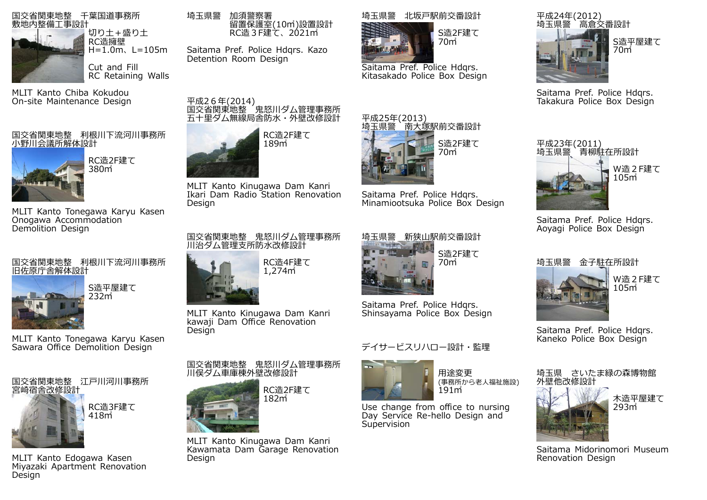

MLIT Kanto Chiba Kokudou On-site Maintenance Design

# 国交省関東地整 利根川下流河川事務所 小野川会議所解体設計



MLIT Kanto Tonegawa Karyu Kasen Onogawa Accommodation Demolition Design

## 国交省関東地整 利根川下流河川事務所 旧佐原庁舎解体設計

S造平屋建て 232㎡

MLIT Kanto Tonegawa Karyu Kasen Sawara Office Demolition Design



MLIT Kanto Edogawa Kasen Miyazaki Apartment Renovation Design

埼玉県警 加須警察署 留置保護室(10㎡)設置設計 RC造3F建て、2021㎡

Saitama Pref. Police Hdqrs. Kazo Detention Room Design

平成26年(2014)<br>国交省関東地整 鬼怒川ダム管理事務所 五十里ダム無線局舎防水・外壁改修設計



MLIT Kanto Kinugawa Dam Kanri Ikari Dam Radio Station Renovation Design

#### 国交省関東地整 鬼怒川ダム管理事務所 □☆日☆☆☆□量──◎☆☆☆☆☆☆



MLIT Kanto Kinugawa Dam Kanri kawaji Dam Office Renovation **Design** 

国交省関東地整 鬼怒川ダム管理事務所 川俣ダム車庫棟外壁改修設計



MLIT Kanto Kinugawa Dam Kanri Kawamata Dam Garage Renovation Design

# 埼玉県警 北坂⼾駅前交番設計



Saitama Pref. Police Hdqrs. Kitasakado Police Box Design

平成25年(2013)<br><u>埼玉県警 南大塚駅</u>前交番設計



Saitama Pref. Police Hdars. Takakura Police Box Design



Saitama Pref. Police Hdars. Aoyagi Police Box Design



W造2F建て105㎡

Saitama Pref. Police Hdqrs. Kaneko Police Box Design





木造平屋建て293㎡



Saitama Midorinomori Museum Renovation Design



Saitama Pref. Police Hdqrs. Shinsayama Police Box Design

# デイサービスリハロー設計・監理



用途変更 (事務所から老人福祉施設)<br>191㎡

Use change from office to nursing Day Service Re-hello Design and **Supervision** 

# Saitama Pref. Police Hdqrs. Minamiootsuka Police Box Design

S造2F建て

S造2F建て70㎡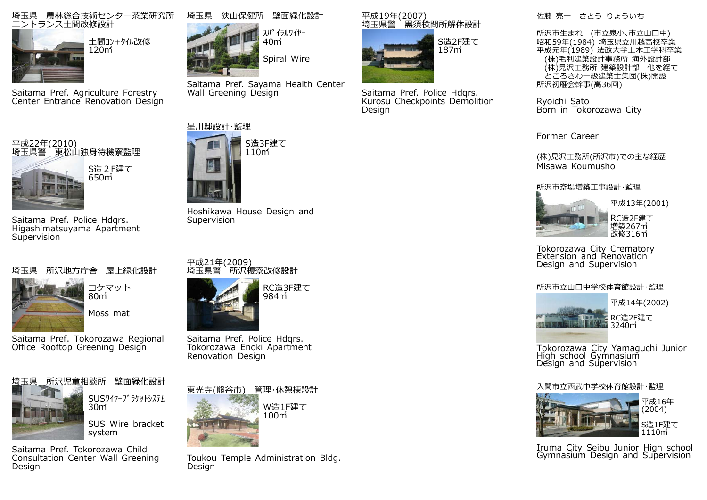## 埼玉県 農林総合技術センター茶業研究所 <u>エン</u>トランス土間改修設計



⼟間コン+タイル改修120㎡

Saitama Pref. Agriculture Forestry Center Entrance Renovation Design

# 平成22年(2010)<br>埼玉県警 東松山独身待機寮監理



Saitama Pref. Police Hdars. Higashimatsuyama Apartment **Supervision** 

# 埼玉県 所沢地方庁舎 屋上緑化設計



コケマット80㎡Moss mat

Saitama Pref. Tokorozawa Regional Office Rooftop Greening Design



SUSワイヤーフ<sup>、</sup>ラケットシステム

SUS Wire bracket

Saitama Pref. Tokorozawa Child Consultation Center Wall Greening Design



スパイラルワイヤー 40㎡Spiral Wire

Saitama Pref. Sayama Health Center Wall Greening Design



Hoshikawa House Design and Supervision













Toukou Temple Administration Bldg. Design

# 平成19年(2007)<br>埼玉県警 黒須検問所解体設計



Saitama Pref. Police Hdgrs. Kurosu Checkpoints Demolition Design

佐藤 亮一 さとう りょういち

所沢市生まれ (市立泉小、市立山口中) 昭和59年(1984) 埼玉県立川越高校卒業 平成元年(1989) 法政大学土木工学科卒業 (株)毛利建築設計事務所 海外設計部 (株)見沢工務所 建築設計部 他を経て ところさわ一級建築士集団(株)開設 所沢初雁会幹事(高36回)

Ryoichi Sato Born in Tokorozawa City

Former Career

(株)見沢工務所(所沢市)での主な経歴 Misawa Koumusho

# 所沢市斎場増築工事設計・監理



平成13年(2001) RC造2F建て増築267㎡

改修316㎡

Tokorozawa City Crematory Extension and Renovation Design and Supervision

# 所沢市立山口中学校体育館設計・監理



Tokorozawa City Yamaguchi Junior High school Gymnasium Design and Supervision

# 入間市立西武中学校体育館設計・監理



 (2004) S造1F建て1110㎡

平成16年

Iruma City Seibu Junior High school Gymnasium Design and Supervision